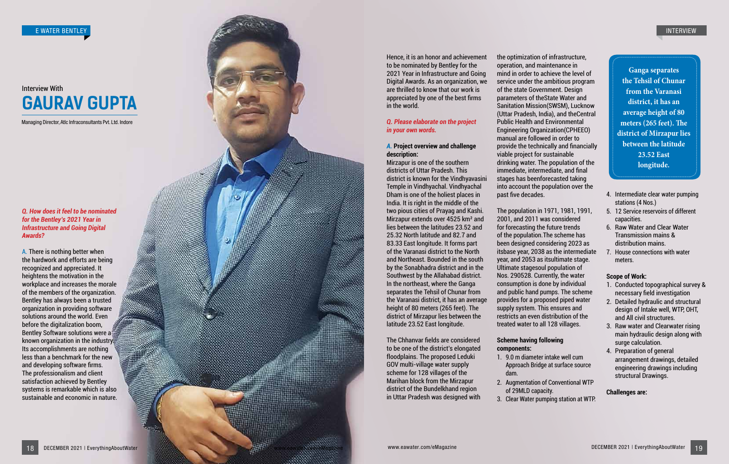

*Q. How does it feel to be nominated for the Bentley's 2021 Year in Infrastructure and Going Digital Awards?*

A. There is nothing better when the hardwork and efforts are being recognized and appreciated. It heightens the motivation in the workplace and increases the morale of the members of the organization. Bentley has always been a trusted organization in providing software solutions around the world. Even before the digitalization boom, Bentley Software solutions were a known organization in the industry. Its accomplishments are nothing less than a benchmark for the new and developing software firms. The professionalism and client satisfaction achieved by Bentley systems is remarkable which is also sustainable and economic in nature.

# **GAURAV GUPTA** Interview With

Managing Director, Atlc Infraconsultants Pvt. Ltd. Indore

Hence, it is an honor and achievement to be nominated by Bentley for the 2021 Year in Infrastructure and Going Digital Awards. As an organization, we are thrilled to know that our work is appreciated by one of the best firms in the world.

## *Q. Please elaborate on the project in your own words.*

# *A.* **Project overview and challenge description:**

Mirzapur is one of the southern districts of Uttar Pradesh. This district is known for the Vindhyavasini Temple in Vindhyachal. Vindhyachal Dham is one of the holiest places in India. It is right in the middle of the two pious cities of Prayag and Kashi. Mirzapur extends over 4525 km² and lies between the latitudes 23.52 and 25.32 North latitude and 82.7 and 83.33 East longitude. It forms part of the Varanasi district to the North and Northeast. Bounded in the south by the Sonabhadra district and in the Southwest by the Allahabad district. In the northeast, where the Ganga separates the Tehsil of Chunar from the Varanasi district, it has an average height of 80 meters (265 feet). The district of Mirzapur lies between the latitude 23.52 East longitude.

The Chhanvar fields are considered to be one of the district's elongated floodplains. The proposed Leduki GOV multi-village water supply scheme for 128 villages of the Marihan block from the Mirzapur district of the Bundelkhand region in Uttar Pradesh was designed with the optimization of infrastructure, operation, and maintenance in mind in order to achieve the level of service under the ambitious program of the state Government. Design parameters of theState Water and Sanitation Mission(SWSM), Lucknow (Uttar Pradesh, India), and theCentral Public Health and Environmental Engineering Organization(CPHEEO) manual are followed in order to provide the technically and financially viable project for sustainable drinking water. The population of the immediate, intermediate, and final stages has beenforecasted taking into account the population over the past five decades.

The population in 1971, 1981, 1991, 2001, and 2011 was considered for forecasting the future trends of the population.The scheme has been designed considering 2023 as itsbase year, 2038 as the intermediate year, and 2053 as itsultimate stage. Ultimate stagesoul population of Nos. 290528. Currently, the water consumption is done by individual and public hand pumps. The scheme provides for a proposed piped water supply system. This ensures and restricts an even distribution of the treated water to all 128 villages.

## **Scheme having following components:**

- 1. 9.0 m diameter intake well cum Approach Bridge at surface source dam.
- 2. Augmentation of Conventional WTP of 29MLD capacity.
- 3. Clear Water pumping station at WTP.

- 4. Intermediate clear water pumping stations (4 Nos.)
- 5. 12 Service reservoirs of different capacities.
- 6. Raw Water and Clear Water Transmission mains & distribution mains.
- 7. House connections with water meters.

# **Scope of Work:**

- 1. Conducted topographical survey & necessary field investigation
- 2. Detailed hydraulic and structural design of Intake well, WTP, OHT, and All civil structures.
- 3. Raw water and Clearwater rising main hydraulic design along with surge calculation.
- 4. Preparation of general arrangement drawings, detailed engineering drawings including structural Drawings.

# **Challenges are:**

**Ganga separates the Tehsil of Chunar from the Varanasi district, it has an average height of 80 meters (265 feet). The district of Mirzapur lies between the latitude 23.52 East longitude.**